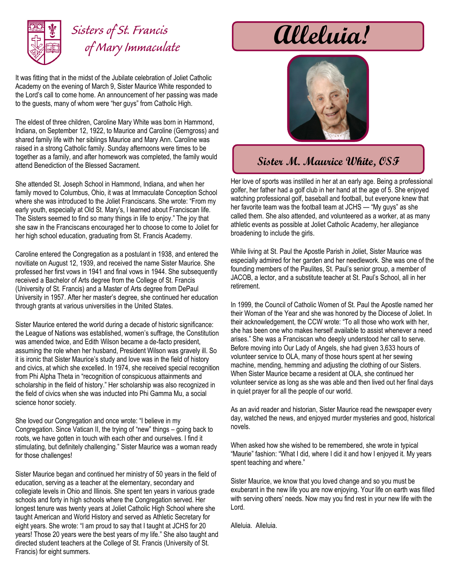

## *Sisters of St. Francis of Mary Immaculate*

It was fitting that in the midst of the Jubilate celebration of Joliet Catholic Academy on the evening of March 9, Sister Maurice White responded to the Lord's call to come home. An announcement of her passing was made to the guests, many of whom were "her guys" from Catholic High.

The eldest of three children, Caroline Mary White was born in Hammond, Indiana, on September 12, 1922, to Maurice and Caroline (Gerngross) and shared family life with her siblings Maurice and Mary Ann. Caroline was raised in a strong Catholic family. Sunday afternoons were times to be together as a family, and after homework was completed, the family would attend Benediction of the Blessed Sacrament.

She attended St. Joseph School in Hammond, Indiana, and when her family moved to Columbus, Ohio, it was at Immaculate Conception School where she was introduced to the Joliet Franciscans. She wrote: "From my early youth, especially at Old St. Mary's, I learned about Franciscan life. The Sisters seemed to find so many things in life to enjoy." The joy that she saw in the Franciscans encouraged her to choose to come to Joliet for her high school education, graduating from St. Francis Academy.

Caroline entered the Congregation as a postulant in 1938, and entered the novitiate on August 12, 1939, and received the name Sister Maurice. She professed her first vows in 1941 and final vows in 1944. She subsequently received a Bachelor of Arts degree from the College of St. Francis (University of St. Francis) and a Master of Arts degree from DePaul University in 1957. After her master's degree, she continued her education through grants at various universities in the United States.

Sister Maurice entered the world during a decade of historic significance: the League of Nations was established, women's suffrage, the Constitution was amended twice, and Edith Wilson became a de-facto president, assuming the role when her husband, President Wilson was gravely ill. So it is ironic that Sister Maurice's study and love was in the field of history and civics, at which she excelled. In 1974, she received special recognition from Phi Alpha Theta in "recognition of conspicuous attainments and scholarship in the field of history." Her scholarship was also recognized in the field of civics when she was inducted into Phi Gamma Mu, a social science honor society.

She loved our Congregation and once wrote: "I believe in my Congregation. Since Vatican II, the trying of "new" things – going back to roots, we have gotten in touch with each other and ourselves. I find it stimulating, but definitely challenging." Sister Maurice was a woman ready for those challenges!

Sister Maurice began and continued her ministry of 50 years in the field of education, serving as a teacher at the elementary, secondary and collegiate levels in Ohio and Illinois. She spent ten years in various grade schools and forty in high schools where the Congregation served. Her longest tenure was twenty years at Joliet Catholic High School where she taught American and World History and served as Athletic Secretary for eight years. She wrote: "I am proud to say that I taught at JCHS for 20 years! Those 20 years were the best years of my life." She also taught and directed student teachers at the College of St. Francis (University of St. Francis) for eight summers.

## **Alleluia!**



## **Sister M. Maurice White, OSF**

Her love of sports was instilled in her at an early age. Being a professional golfer, her father had a golf club in her hand at the age of 5. She enjoyed watching professional golf, baseball and football, but everyone knew that her favorite team was the football team at JCHS — "My guys" as she called them. She also attended, and volunteered as a worker, at as many athletic events as possible at Joliet Catholic Academy, her allegiance broadening to include the girls.

While living at St. Paul the Apostle Parish in Joliet, Sister Maurice was especially admired for her garden and her needlework. She was one of the founding members of the Paulites, St. Paul's senior group, a member of JACOB, a lector, and a substitute teacher at St. Paul's School, all in her retirement.

In 1999, the Council of Catholic Women of St. Paul the Apostle named her their Woman of the Year and she was honored by the Diocese of Joliet. In their acknowledgement, the CCW wrote: "To all those who work with her, she has been one who makes herself available to assist whenever a need arises." She was a Franciscan who deeply understood her call to serve. Before moving into Our Lady of Angels, she had given 3,633 hours of volunteer service to OLA, many of those hours spent at her sewing machine, mending, hemming and adjusting the clothing of our Sisters. When Sister Maurice became a resident at OLA, she continued her volunteer service as long as she was able and then lived out her final days in quiet prayer for all the people of our world.

As an avid reader and historian, Sister Maurice read the newspaper every day, watched the news, and enjoyed murder mysteries and good, historical novels.

When asked how she wished to be remembered, she wrote in typical "Maurie" fashion: "What I did, where I did it and how I enjoyed it. My years spent teaching and where."

Sister Maurice, we know that you loved change and so you must be exuberant in the new life you are now enjoying. Your life on earth was filled with serving others' needs. Now may you find rest in your new life with the Lord.

Alleluia. Alleluia.